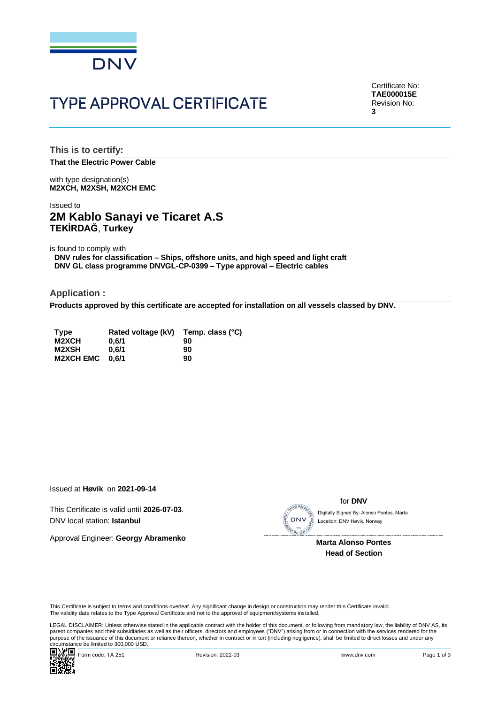

# **TYPE APPROVAL CERTIFICATE**

Certificate No: **TAE000015E** Revision No: **3**

**This is to certify: That the Electric Power Cable**

with type designation(s) **M2XCH, M2XSH, M2XCH EMC**

## Issued to **2M Kablo Sanayi ve Ticaret A.S TEKİRDAĞ**, **Turkey**

is found to comply with

**DNV rules for classification – Ships, offshore units, and high speed and light craft DNV GL class programme DNVGL-CP-0399 – Type approval – Electric cables**

**Application :**

**Products approved by this certificate are accepted for installation on all vessels classed by DNV.**

| <b>Type</b>      | Rated voltage (kV) | Temp. class (°C) |
|------------------|--------------------|------------------|
| M2XCH            | 0.6/1              | 90               |
| M2XSH            | 0.6/1              | 90               |
| <b>M2XCH EMC</b> | 0.6/1              | 90               |

Issued at **Høvik** on **2021-09-14**

This Certificate is valid until **2026-07-03**. DNV local station: **Istanbul**

Approval Engineer: **Georgy Abramenko**



for **DNV**

Location: DNV Høvik, Norway

 **Marta Alonso Pontes Head of Section**

Cilicumstance be immedial processes.<br>
Encompagne Form code: TA 251 Revision: 2021-03 www.dnv.com Page 1 of 3 LEGAL DISCLAIMER: Unless otherwise stated in the applicable contract with the holder of this document, or following from mandatory law, the liability of DNV AS, its parent companies and their subsidiaries as well as their officers, directors and employees ("DNV") arising from or in connection with the services rendered for the purpose of the issuance of this document or reliance thereon, whether in contract or in tort (including negligence), shall be limited to direct losses and under any purpose of the issuance of this document or reliance ther Circumstance be limited to 300,000 USD.<br>
Circumstance be limited to 300,000 USD.<br>
Circumstance be limited to 300,000 USD.<br>
Circumstance be limited to 300,000 USD.<br>
Circumstance be limited to 300,000 USD.<br>
Circumstance be l



This Certificate is subject to terms and conditions overleaf. Any significant change in design or construction may render this Certificate invalid.<br>The validity date relates to the Type Approval Certificate and not to the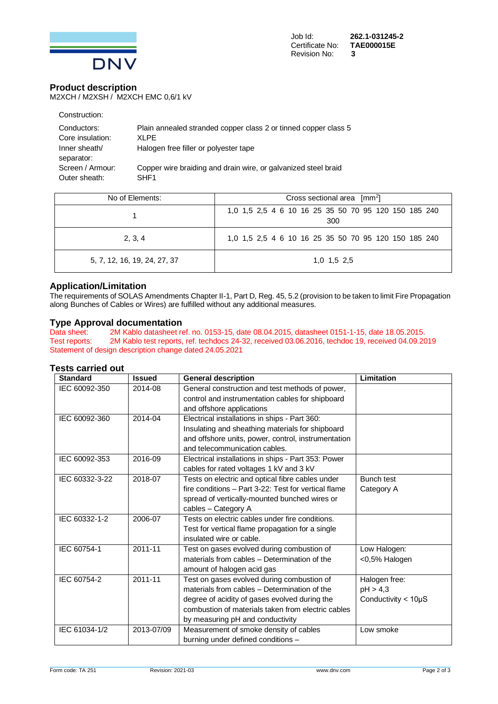

### **Product description**

M2XCH / M2XSH / M2XCH EMC 0,6/1 kV

| Construction:    |                                                                 |
|------------------|-----------------------------------------------------------------|
| Conductors:      | Plain annealed stranded copper class 2 or tinned copper class 5 |
| Core insulation: | XLPE                                                            |
| Inner sheath/    | Halogen free filler or polyester tape                           |
| separator:       |                                                                 |
| Screen / Armour: | Copper wire braiding and drain wire, or galvanized steel braid  |
| Outer sheath:    | SHF <sub>1</sub>                                                |

| No of Elements:              | Cross sectional area $\lceil mm^2 \rceil$                   |  |  |
|------------------------------|-------------------------------------------------------------|--|--|
|                              | 1,0 1,5 2,5 4 6 10 16 25 35 50 70 95 120 150 185 240<br>300 |  |  |
| 2, 3, 4                      | 1,0 1,5 2,5 4 6 10 16 25 35 50 70 95 120 150 185 240        |  |  |
| 5, 7, 12, 16, 19, 24, 27, 37 | 1,0 1,5 2,5                                                 |  |  |

### **Application/Limitation**

The requirements of SOLAS Amendments Chapter II-1, Part D, Reg. 45, 5.2 (provision to be taken to limit Fire Propagation along Bunches of Cables or Wires) are fulfilled without any additional measures.

# **Type Approval documentation**<br>Data sheet: 2M Kablo datasheet re

2M Kablo datasheet ref. no. 0153-15, date 08.04.2015, datasheet 0151-1-15, date 18.05.2015. Test reports: 2M Kablo test reports, ref. techdocs 24-32, received 03.06.2016, techdoc 19, received 04.09.2019 Statement of design description change dated 24.05.2021

#### **Tests carried out**

| <b>Standard</b> | <b>Issued</b> | <b>General description</b>                           | Limitation                  |
|-----------------|---------------|------------------------------------------------------|-----------------------------|
| IEC 60092-350   | 2014-08       | General construction and test methods of power,      |                             |
|                 |               | control and instrumentation cables for shipboard     |                             |
|                 |               | and offshore applications                            |                             |
| IEC 60092-360   | 2014-04       | Electrical installations in ships - Part 360:        |                             |
|                 |               | Insulating and sheathing materials for shipboard     |                             |
|                 |               | and offshore units, power, control, instrumentation  |                             |
|                 |               | and telecommunication cables.                        |                             |
| IEC 60092-353   | 2016-09       | Electrical installations in ships - Part 353: Power  |                             |
|                 |               | cables for rated voltages 1 kV and 3 kV              |                             |
| IEC 60332-3-22  | 2018-07       | Tests on electric and optical fibre cables under     | <b>Bunch test</b>           |
|                 |               | fire conditions - Part 3-22: Test for vertical flame | Category A                  |
|                 |               | spread of vertically-mounted bunched wires or        |                             |
|                 |               | cables - Category A                                  |                             |
| IEC 60332-1-2   | 2006-07       | Tests on electric cables under fire conditions.      |                             |
|                 |               | Test for vertical flame propagation for a single     |                             |
|                 |               | insulated wire or cable.                             |                             |
| IEC 60754-1     | 2011-11       | Test on gases evolved during combustion of           | Low Halogen:                |
|                 |               | materials from cables - Determination of the         | <0,5% Halogen               |
|                 |               | amount of halogen acid gas                           |                             |
| IEC 60754-2     | $2011 - 11$   | Test on gases evolved during combustion of           | Halogen free:               |
|                 |               | materials from cables - Determination of the         | pH > 4,3                    |
|                 |               | degree of acidity of gases evolved during the        | Conductivity $<$ 10 $\mu$ S |
|                 |               | combustion of materials taken from electric cables   |                             |
|                 |               | by measuring pH and conductivity                     |                             |
| IEC 61034-1/2   | 2013-07/09    | Measurement of smoke density of cables               | Low smoke                   |
|                 |               | burning under defined conditions -                   |                             |